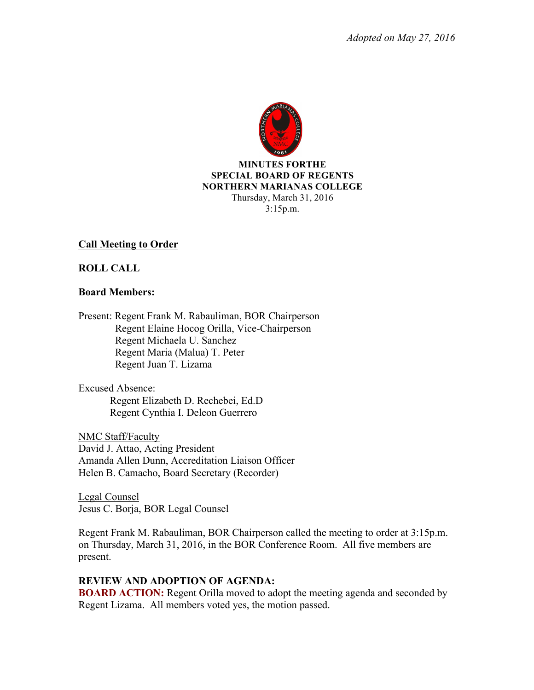

#### **MINUTES FORTHE SPECIAL BOARD OF REGENTS NORTHERN MARIANAS COLLEGE** Thursday, March 31, 2016 3:15p.m.

## **Call Meeting to Order**

## **ROLL CALL**

### **Board Members:**

Present: Regent Frank M. Rabauliman, BOR Chairperson Regent Elaine Hocog Orilla, Vice-Chairperson Regent Michaela U. Sanchez Regent Maria (Malua) T. Peter Regent Juan T. Lizama

Excused Absence: Regent Elizabeth D. Rechebei, Ed.D Regent Cynthia I. Deleon Guerrero

NMC Staff/Faculty David J. Attao, Acting President Amanda Allen Dunn, Accreditation Liaison Officer Helen B. Camacho, Board Secretary (Recorder)

Legal Counsel Jesus C. Borja, BOR Legal Counsel

Regent Frank M. Rabauliman, BOR Chairperson called the meeting to order at 3:15p.m. on Thursday, March 31, 2016, in the BOR Conference Room. All five members are present.

## **REVIEW AND ADOPTION OF AGENDA:**

**BOARD ACTION:** Regent Orilla moved to adopt the meeting agenda and seconded by Regent Lizama. All members voted yes, the motion passed.